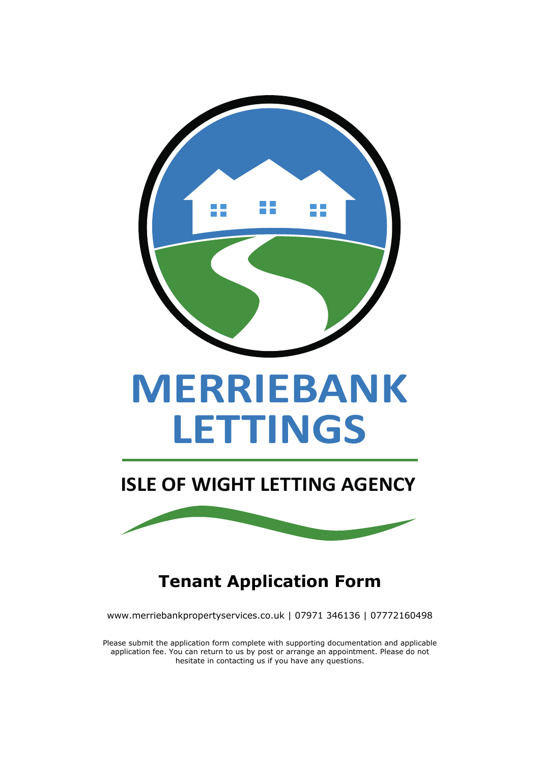

**ISLE OF WIGHT LETTING AGENCY**



**Tenant Application Form**

www.merriebankpropertyservices.co.uk | 07971 346136 | 07772160498

Please submit the application form complete with supporting documentation and applicable application fee. You can return to us by post or arrange an appointment. Please do not hesitate in contacting us if you have any questions.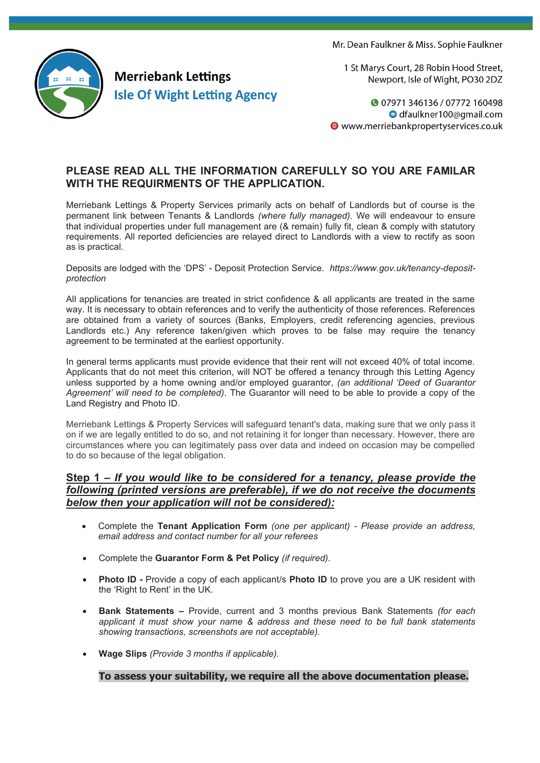Mr. Dean Faulkner & Miss. Sophie Faulkner



1 St Marys Court, 28 Robin Hood Street, Newport, Isle of Wight, PO30 2DZ

**07971346136/07772160498** O dfaulkner100@gmail.com ● www.merriebankpropertyservices.co.uk

# **PLEASE READ ALL THE INFORMATION CAREFULLY SO YOU ARE FAMILAR WITH THE REQUIRMENTS OF THE APPLICATION.**

Merriebank Lettings & Property Services primarily acts on behalf of Landlords but of course is the permanent link between Tenants & Landlords *(where fully managed).* We will endeavour to ensure that individual properties under full management are (& remain) fully fit, clean & comply with statutory requirements. All reported deficiencies are relayed direct to Landlords with a view to rectify as soon as is practical.

Deposits are lodged with the 'DPS' - Deposit Protection Service. *https://www.gov.uk/tenancy-depositprotection*

All applications for tenancies are treated in strict confidence & all applicants are treated in the same way. It is necessary to obtain references and to verify the authenticity of those references. References are obtained from a variety of sources (Banks, Employers, credit referencing agencies, previous Landlords etc.) Any reference taken/given which proves to be false may require the tenancy agreement to be terminated at the earliest opportunity.

In general terms applicants must provide evidence that their rent will not exceed 40% of total income. Applicants that do not meet this criterion, will NOT be offered a tenancy through this Letting Agency unless supported by a home owning and/or employed guarantor, *(an additional 'Deed of Guarantor Agreement' will need to be completed)*. The Guarantor will need to be able to provide a copy of the Land Registry and Photo ID.

Merriebank Lettings & Property Services will safeguard tenant's data, making sure that we only pass it on if we are legally entitled to do so, and not retaining it for longer than necessary. However, there are circumstances where you can legitimately pass over data and indeed on occasion may be compelled to do so because of the legal obligation.

# **Step 1 –** *If you would like to be considered for a tenancy, please provide the following (printed versions are preferable), if we do not receive the documents below then your application will not be considered):*

- Complete the **Tenant Application Form** *(one per applicant) - Please provide an address, email address and contact number for all your referees*
- Complete the **Guarantor Form & Pet Policy** *(if required).*
- **Photo ID -** Provide a copy of each applicant/s **Photo ID** to prove you are a UK resident with the 'Right to Rent' in the UK.
- **Bank Statements –** Provide, current and 3 months previous Bank Statements *(for each applicant it must show your name & address and these need to be full bank statements showing transactions, screenshots are not acceptable).*
- **Wage Slips** *(Provide 3 months if applicable).*

## **To assess your suitability, we require all the above documentation please.**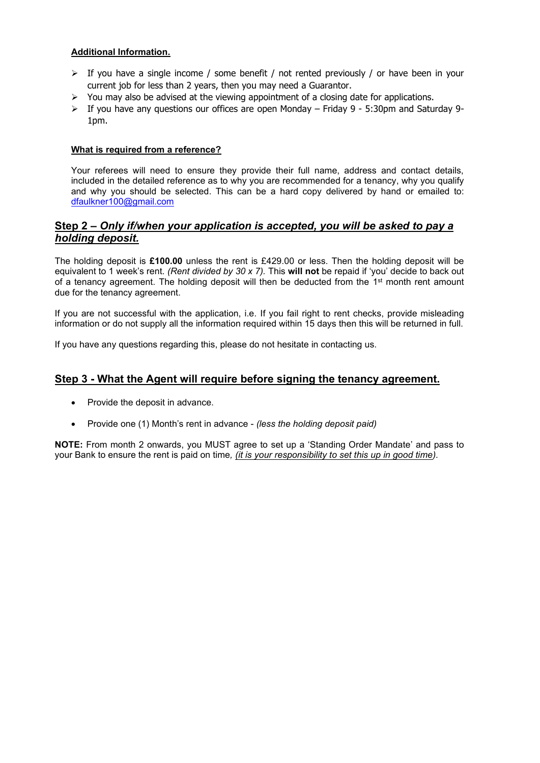### **Additional Information.**

- $\triangleright$  If you have a single income / some benefit / not rented previously / or have been in your current job for less than 2 years, then you may need a Guarantor.
- $\triangleright$  You may also be advised at the viewing appointment of a closing date for applications.
- $\triangleright$  If you have any questions our offices are open Monday Friday 9 5:30pm and Saturday 9-1pm.

### **What is required from a reference?**

Your referees will need to ensure they provide their full name, address and contact details, included in the detailed reference as to why you are recommended for a tenancy, why you qualify and why you should be selected. This can be a hard copy delivered by hand or emailed to: dfaulkner100@gmail.com

# **Step 2 –** *Only if/when your application is accepted, you will be asked to pay a holding deposit.*

The holding deposit is **£100.00** unless the rent is £429.00 or less. Then the holding deposit will be equivalent to 1 week's rent. *(Rent divided by 30 x 7).* This **will not** be repaid if 'you' decide to back out of a tenancy agreement. The holding deposit will then be deducted from the  $1<sup>st</sup>$  month rent amount due for the tenancy agreement.

If you are not successful with the application, i.e. If you fail right to rent checks, provide misleading information or do not supply all the information required within 15 days then this will be returned in full.

If you have any questions regarding this, please do not hesitate in contacting us.

## **Step 3 - What the Agent will require before signing the tenancy agreement.**

- Provide the deposit in advance.
- Provide one (1) Month's rent in advance *(less the holding deposit paid)*

**NOTE:** From month 2 onwards, you MUST agree to set up a 'Standing Order Mandate' and pass to your Bank to ensure the rent is paid on time*, (it is your responsibility to set this up in good time).*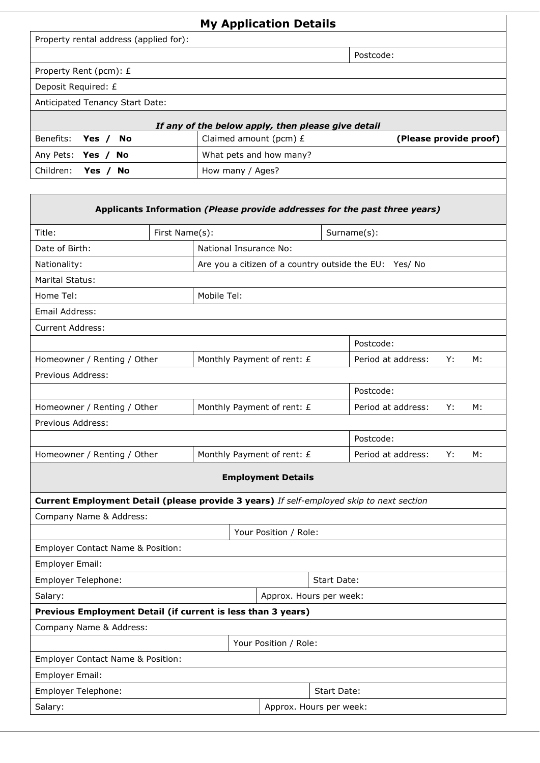| <b>My Application Details</b>                                                            |                                                        |                                                  |                            |             |                    |    |    |  |  |
|------------------------------------------------------------------------------------------|--------------------------------------------------------|--------------------------------------------------|----------------------------|-------------|--------------------|----|----|--|--|
| Property rental address (applied for):                                                   |                                                        |                                                  |                            |             |                    |    |    |  |  |
|                                                                                          |                                                        |                                                  |                            | Postcode:   |                    |    |    |  |  |
| Property Rent (pcm): £                                                                   |                                                        |                                                  |                            |             |                    |    |    |  |  |
| Deposit Required: £                                                                      |                                                        |                                                  |                            |             |                    |    |    |  |  |
| Anticipated Tenancy Start Date:                                                          |                                                        |                                                  |                            |             |                    |    |    |  |  |
| If any of the below apply, then please give detail                                       |                                                        |                                                  |                            |             |                    |    |    |  |  |
| Benefits:<br><b>No</b><br>Yes $/$                                                        |                                                        | (Please provide proof)<br>Claimed amount (pcm) £ |                            |             |                    |    |    |  |  |
| Any Pets:<br>Yes / No                                                                    |                                                        | What pets and how many?                          |                            |             |                    |    |    |  |  |
| Children:<br>Yes $/$<br><b>No</b>                                                        |                                                        | How many / Ages?                                 |                            |             |                    |    |    |  |  |
|                                                                                          |                                                        |                                                  |                            |             |                    |    |    |  |  |
| Applicants Information (Please provide addresses for the past three years)               |                                                        |                                                  |                            |             |                    |    |    |  |  |
| Title:                                                                                   | First Name(s):                                         |                                                  | Surname(s):                |             |                    |    |    |  |  |
| Date of Birth:                                                                           |                                                        | National Insurance No:                           |                            |             |                    |    |    |  |  |
| Nationality:                                                                             | Are you a citizen of a country outside the EU: Yes/ No |                                                  |                            |             |                    |    |    |  |  |
| <b>Marital Status:</b>                                                                   |                                                        |                                                  |                            |             |                    |    |    |  |  |
| Home Tel:                                                                                | Mobile Tel:                                            |                                                  |                            |             |                    |    |    |  |  |
| Email Address:                                                                           |                                                        |                                                  |                            |             |                    |    |    |  |  |
| <b>Current Address:</b>                                                                  |                                                        |                                                  |                            |             |                    |    |    |  |  |
|                                                                                          |                                                        |                                                  |                            | Postcode:   |                    |    |    |  |  |
| Homeowner / Renting / Other                                                              |                                                        |                                                  | Monthly Payment of rent: £ |             | Period at address: | Y: | М: |  |  |
| Previous Address:                                                                        |                                                        |                                                  |                            |             |                    |    |    |  |  |
|                                                                                          |                                                        |                                                  |                            | Postcode:   |                    |    |    |  |  |
| Homeowner / Renting / Other                                                              |                                                        |                                                  | Monthly Payment of rent: £ |             | Period at address: | Y: | М: |  |  |
| Previous Address:                                                                        |                                                        |                                                  |                            |             |                    |    |    |  |  |
|                                                                                          |                                                        |                                                  | Postcode:                  |             |                    |    |    |  |  |
| Homeowner / Renting / Other                                                              |                                                        |                                                  | Monthly Payment of rent: £ |             | Period at address: | Y: | M: |  |  |
| <b>Employment Details</b>                                                                |                                                        |                                                  |                            |             |                    |    |    |  |  |
| Current Employment Detail (please provide 3 years) If self-employed skip to next section |                                                        |                                                  |                            |             |                    |    |    |  |  |
| Company Name & Address:                                                                  |                                                        |                                                  |                            |             |                    |    |    |  |  |
|                                                                                          |                                                        |                                                  | Your Position / Role:      |             |                    |    |    |  |  |
| Employer Contact Name & Position:                                                        |                                                        |                                                  |                            |             |                    |    |    |  |  |
| Employer Email:                                                                          |                                                        |                                                  |                            |             |                    |    |    |  |  |
| Employer Telephone:<br>Start Date:                                                       |                                                        |                                                  |                            |             |                    |    |    |  |  |
| Approx. Hours per week:<br>Salary:                                                       |                                                        |                                                  |                            |             |                    |    |    |  |  |
| Previous Employment Detail (if current is less than 3 years)                             |                                                        |                                                  |                            |             |                    |    |    |  |  |
| Company Name & Address:                                                                  |                                                        |                                                  |                            |             |                    |    |    |  |  |
|                                                                                          |                                                        |                                                  | Your Position / Role:      |             |                    |    |    |  |  |
| Employer Contact Name & Position:                                                        |                                                        |                                                  |                            |             |                    |    |    |  |  |
| <b>Employer Email:</b>                                                                   |                                                        |                                                  |                            |             |                    |    |    |  |  |
| Employer Telephone:                                                                      |                                                        |                                                  |                            | Start Date: |                    |    |    |  |  |
| Salary:                                                                                  |                                                        |                                                  | Approx. Hours per week:    |             |                    |    |    |  |  |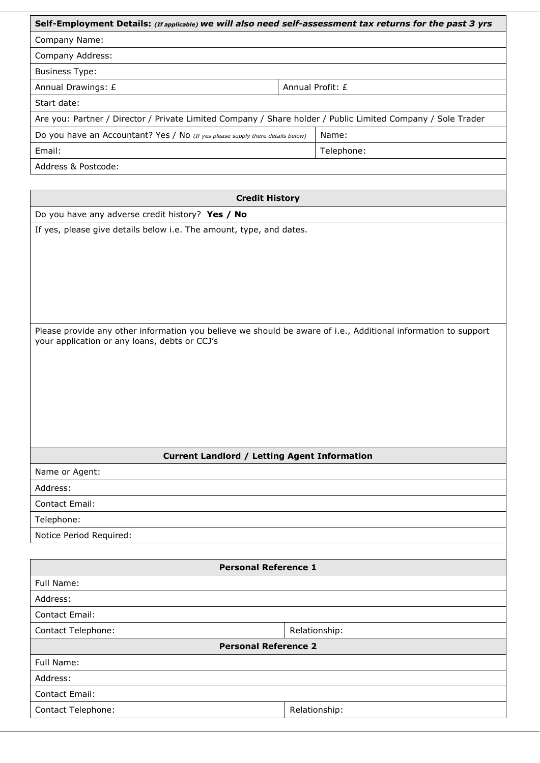| Self-Employment Details: (If applicable) we will also need self-assessment tax returns for the past 3 yrs      |                  |               |  |  |  |  |  |
|----------------------------------------------------------------------------------------------------------------|------------------|---------------|--|--|--|--|--|
| Company Name:                                                                                                  |                  |               |  |  |  |  |  |
| Company Address:                                                                                               |                  |               |  |  |  |  |  |
| <b>Business Type:</b>                                                                                          |                  |               |  |  |  |  |  |
| Annual Drawings: £                                                                                             | Annual Profit: £ |               |  |  |  |  |  |
| Start date:                                                                                                    |                  |               |  |  |  |  |  |
| Are you: Partner / Director / Private Limited Company / Share holder / Public Limited Company / Sole Trader    |                  |               |  |  |  |  |  |
| Do you have an Accountant? Yes / No (If yes please supply there details below)                                 |                  | Name:         |  |  |  |  |  |
| Email:                                                                                                         | Telephone:       |               |  |  |  |  |  |
| Address & Postcode:                                                                                            |                  |               |  |  |  |  |  |
|                                                                                                                |                  |               |  |  |  |  |  |
| <b>Credit History</b>                                                                                          |                  |               |  |  |  |  |  |
| Do you have any adverse credit history? Yes / No                                                               |                  |               |  |  |  |  |  |
| If yes, please give details below i.e. The amount, type, and dates.                                            |                  |               |  |  |  |  |  |
|                                                                                                                |                  |               |  |  |  |  |  |
|                                                                                                                |                  |               |  |  |  |  |  |
|                                                                                                                |                  |               |  |  |  |  |  |
|                                                                                                                |                  |               |  |  |  |  |  |
|                                                                                                                |                  |               |  |  |  |  |  |
|                                                                                                                |                  |               |  |  |  |  |  |
|                                                                                                                |                  |               |  |  |  |  |  |
|                                                                                                                |                  |               |  |  |  |  |  |
| Please provide any other information you believe we should be aware of i.e., Additional information to support |                  |               |  |  |  |  |  |
| your application or any loans, debts or CCJ's                                                                  |                  |               |  |  |  |  |  |
|                                                                                                                |                  |               |  |  |  |  |  |
|                                                                                                                |                  |               |  |  |  |  |  |
|                                                                                                                |                  |               |  |  |  |  |  |
|                                                                                                                |                  |               |  |  |  |  |  |
|                                                                                                                |                  |               |  |  |  |  |  |
|                                                                                                                |                  |               |  |  |  |  |  |
|                                                                                                                |                  |               |  |  |  |  |  |
|                                                                                                                |                  |               |  |  |  |  |  |
| <b>Current Landlord / Letting Agent Information</b>                                                            |                  |               |  |  |  |  |  |
| Name or Agent:                                                                                                 |                  |               |  |  |  |  |  |
| Address:                                                                                                       |                  |               |  |  |  |  |  |
| Contact Email:                                                                                                 |                  |               |  |  |  |  |  |
| Telephone:                                                                                                     |                  |               |  |  |  |  |  |
| Notice Period Required:                                                                                        |                  |               |  |  |  |  |  |
|                                                                                                                |                  |               |  |  |  |  |  |
| <b>Personal Reference 1</b>                                                                                    |                  |               |  |  |  |  |  |
| Full Name:                                                                                                     |                  |               |  |  |  |  |  |
| Address:                                                                                                       |                  |               |  |  |  |  |  |
| <b>Contact Email:</b>                                                                                          |                  |               |  |  |  |  |  |
| <b>Contact Telephone:</b>                                                                                      |                  | Relationship: |  |  |  |  |  |
| <b>Personal Reference 2</b>                                                                                    |                  |               |  |  |  |  |  |
| Full Name:                                                                                                     |                  |               |  |  |  |  |  |
| Address:                                                                                                       |                  |               |  |  |  |  |  |
| Contact Email:                                                                                                 |                  |               |  |  |  |  |  |
| Contact Telephone:                                                                                             |                  | Relationship: |  |  |  |  |  |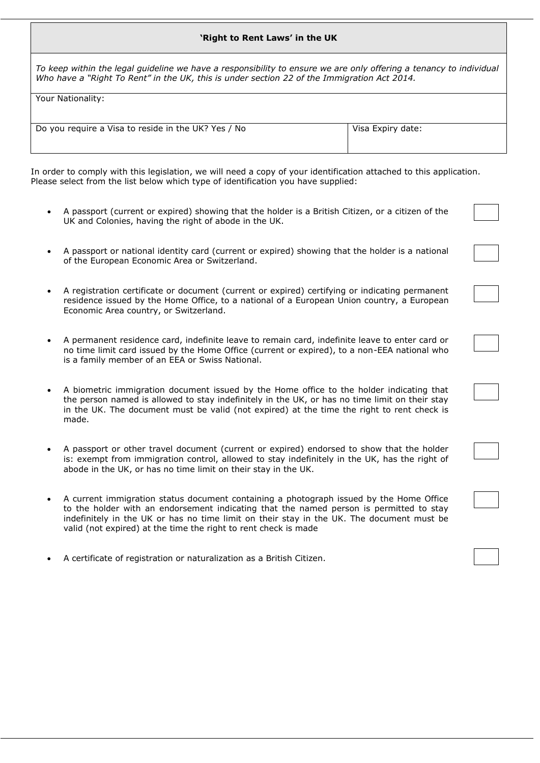#### **'Right to Rent Laws' in the UK**

*To keep within the legal guideline we have a responsibility to ensure we are only offering a tenancy to individual Who have a "Right To Rent" in the UK, this is under section 22 of the Immigration Act 2014.*

Your Nationality:

| Do you require a Visa to reside in the UK? Yes / No | Visa Expiry date: |
|-----------------------------------------------------|-------------------|
|                                                     |                   |
|                                                     |                   |

In order to comply with this legislation, we will need a copy of your identification attached to this application. Please select from the list below which type of identification you have supplied:

- A passport (current or expired) showing that the holder is a British Citizen, or a citizen of the UK and Colonies, having the right of abode in the UK.
- A passport or national identity card (current or expired) showing that the holder is a national of the European Economic Area or Switzerland.
- A registration certificate or document (current or expired) certifying or indicating permanent residence issued by the Home Office, to a national of a European Union country, a European Economic Area country, or Switzerland.
- A permanent residence card, indefinite leave to remain card, indefinite leave to enter card or no time limit card issued by the Home Office (current or expired), to a non-EEA national who is a family member of an EEA or Swiss National.
- A biometric immigration document issued by the Home office to the holder indicating that the person named is allowed to stay indefinitely in the UK, or has no time limit on their stay in the UK. The document must be valid (not expired) at the time the right to rent check is made.
- A passport or other travel document (current or expired) endorsed to show that the holder is: exempt from immigration control, allowed to stay indefinitely in the UK, has the right of abode in the UK, or has no time limit on their stay in the UK.
- A current immigration status document containing a photograph issued by the Home Office to the holder with an endorsement indicating that the named person is permitted to stay indefinitely in the UK or has no time limit on their stay in the UK. The document must be valid (not expired) at the time the right to rent check is made
- A certificate of registration or naturalization as a British Citizen.